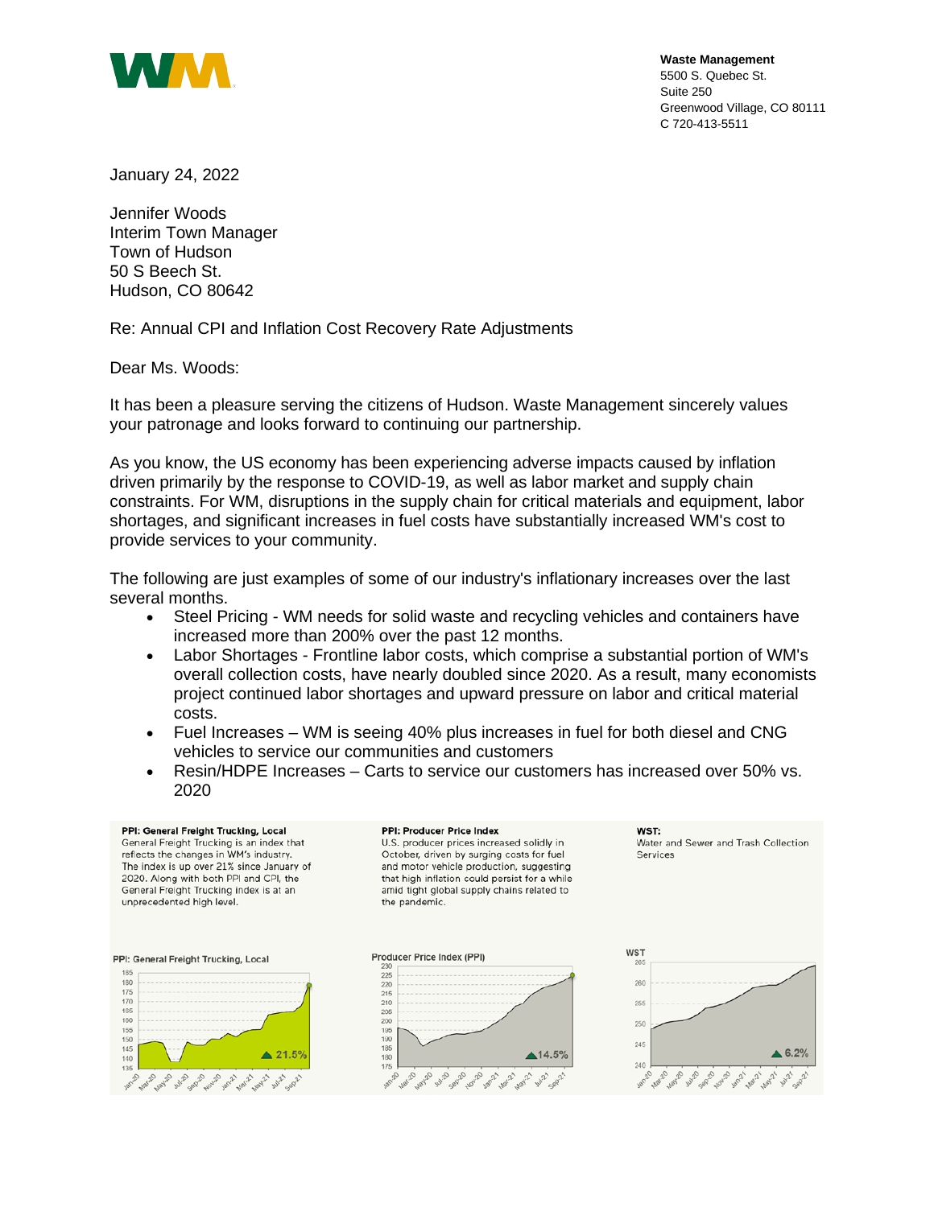

**Waste Management** 5500 S. Quebec St. Suite 250 Greenwood Village, CO 80111 C 720-413-5511

January 24, 2022

Jennifer Woods Interim Town Manager Town of Hudson 50 S Beech St. Hudson, CO 80642

Re: Annual CPI and Inflation Cost Recovery Rate Adjustments

Dear Ms. Woods:

It has been a pleasure serving the citizens of Hudson. Waste Management sincerely values your patronage and looks forward to continuing our partnership.

As you know, the US economy has been experiencing adverse impacts caused by inflation driven primarily by the response to COVID-19, as well as labor market and supply chain constraints. For WM, disruptions in the supply chain for critical materials and equipment, labor shortages, and significant increases in fuel costs have substantially increased WM's cost to provide services to your community.

The following are just examples of some of our industry's inflationary increases over the last several months.

- Steel Pricing WM needs for solid waste and recycling vehicles and containers have increased more than 200% over the past 12 months.
- Labor Shortages Frontline labor costs, which comprise a substantial portion of WM's overall collection costs, have nearly doubled since 2020. As a result, many economists project continued labor shortages and upward pressure on labor and critical material costs.
- Fuel Increases WM is seeing 40% plus increases in fuel for both diesel and CNG vehicles to service our communities and customers
- Resin/HDPE Increases Carts to service our customers has increased over 50% vs. 2020

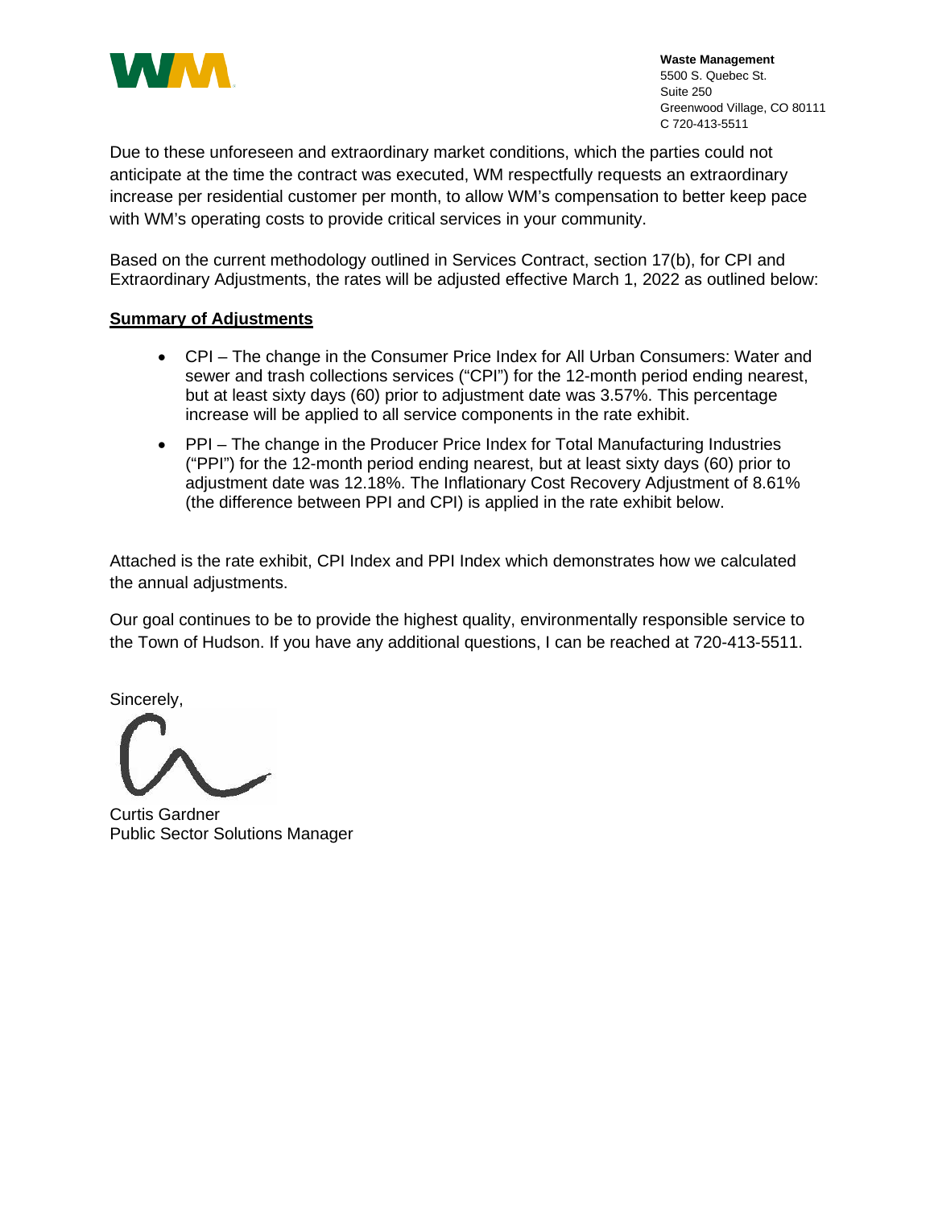

**Waste Management** 5500 S. Quebec St. Suite 250 Greenwood Village, CO 80111 C 720-413-5511

Due to these unforeseen and extraordinary market conditions, which the parties could not anticipate at the time the contract was executed, WM respectfully requests an extraordinary increase per residential customer per month, to allow WM's compensation to better keep pace with WM's operating costs to provide critical services in your community.

Based on the current methodology outlined in Services Contract, section 17(b), for CPI and Extraordinary Adjustments, the rates will be adjusted effective March 1, 2022 as outlined below:

## **Summary of Adjustments**

- CPI The change in the Consumer Price Index for All Urban Consumers: Water and sewer and trash collections services ("CPI") for the 12-month period ending nearest, but at least sixty days (60) prior to adjustment date was 3.57%. This percentage increase will be applied to all service components in the rate exhibit.
- PPI The change in the Producer Price Index for Total Manufacturing Industries ("PPI") for the 12-month period ending nearest, but at least sixty days (60) prior to adjustment date was 12.18%. The Inflationary Cost Recovery Adjustment of 8.61% (the difference between PPI and CPI) is applied in the rate exhibit below.

Attached is the rate exhibit, CPI Index and PPI Index which demonstrates how we calculated the annual adjustments.

Our goal continues to be to provide the highest quality, environmentally responsible service to the Town of Hudson. If you have any additional questions, I can be reached at 720-413-5511.

Sincerely,

Curtis Gardner Public Sector Solutions Manager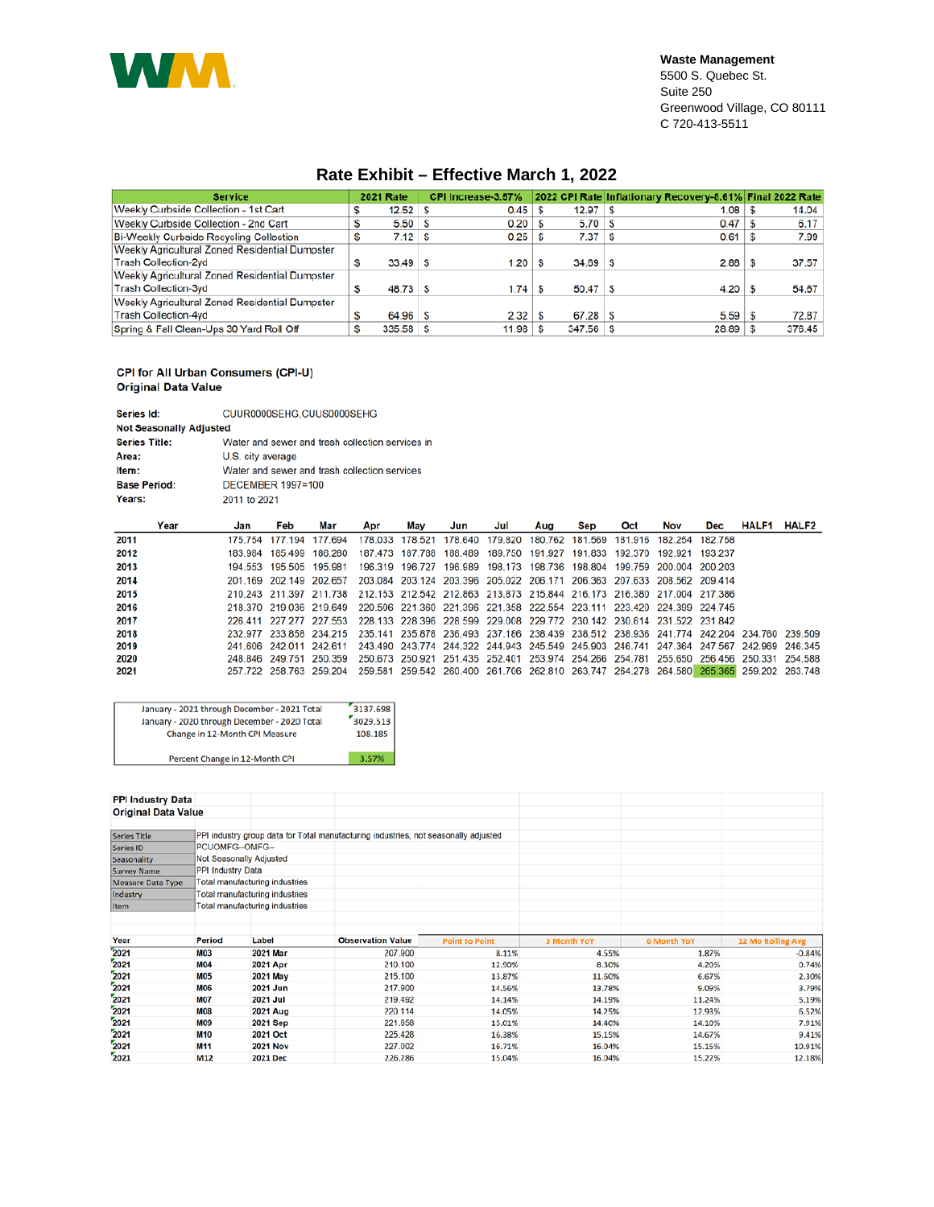

## **Rate Exhibit – Effective March 1, 2022**

| <b>Service</b>                                        | <b>2021 Rate</b>  | CPI Increase-3.57% |    |              | 2022 CPI Rate Inflationary Recovery-8.61% Final 2022 Rate |        |
|-------------------------------------------------------|-------------------|--------------------|----|--------------|-----------------------------------------------------------|--------|
| Weekly Curbside Collection - 1st Cart                 | $12.52$ S         | 0.45               |    | 12.97        | 1.08                                                      | 14.04  |
| Weekly Curbside Collection - 2nd Cart                 | $5.50$ $\sqrt{S}$ | 0.20               |    | 5.70         | 0.47                                                      | 6.17   |
| Bi-Weekly Curbside Recycling Collection               | $7.12$ S          | 0.25               |    | 7.37         | 0.61                                                      | 7.99   |
| <b>Weekly Agricultural Zoned Residential Dumpster</b> |                   |                    |    |              |                                                           |        |
| <b>Trash Collection-2vd</b>                           | $33.49$ S         | 1.20               |    | 34.69        | 2.88                                                      | 37.57  |
| Weekly Agricultural Zoned Residential Dumpster        |                   |                    |    |              |                                                           |        |
| Trash Collection-3yd                                  | $48.73$ S         | 1.74               | -S | $50.47$   \$ | 4.20                                                      | 54.67  |
| Weekly Agricultural Zoned Residential Dumpster        |                   |                    |    |              |                                                           |        |
| Trash Collection-4yd                                  | 64.96 S           | 2.32               |    | 67.28        | 5.59                                                      | 72.87  |
| Spring & Fall Clean-Ups 30 Yard Roll Off              | $335.58$ S        | 11.98              |    | 347.56       | 28.89                                                     | 376.45 |

## CPI for All Urban Consumers (CPI-U) **Original Data Value**

| Series Id:                     | CUUR0000SEHG.CUUS0000SEHG                        |  |  |  |  |  |  |  |  |
|--------------------------------|--------------------------------------------------|--|--|--|--|--|--|--|--|
| <b>Not Seasonally Adjusted</b> |                                                  |  |  |  |  |  |  |  |  |
| <b>Series Title:</b>           | Water and sewer and trash collection services in |  |  |  |  |  |  |  |  |
| Area:                          | U.S. city average                                |  |  |  |  |  |  |  |  |
| Item:                          | Water and sewer and trash collection services    |  |  |  |  |  |  |  |  |
| <b>Base Period:</b>            | <b>DECEMBER 1997=100</b>                         |  |  |  |  |  |  |  |  |
| Years:                         | 2011 to 2021                                     |  |  |  |  |  |  |  |  |

| Year | Jan | Feb                     | Mar                                                                                                             | Apr                                                                     | Mav | Jun                                                                                     | Jul | Aug | Sep | Oct | Nov | Dec | <b>HALF1</b> | <b>HALF2</b> |
|------|-----|-------------------------|-----------------------------------------------------------------------------------------------------------------|-------------------------------------------------------------------------|-----|-----------------------------------------------------------------------------------------|-----|-----|-----|-----|-----|-----|--------------|--------------|
| 2011 |     | 175 754 177 194 177 694 |                                                                                                                 |                                                                         |     | 178.033 178.521 178.640 179.820 180.762 181.569 181.916 182.254 182.758                 |     |     |     |     |     |     |              |              |
| 2012 |     |                         | 183 984 185 499 186 280                                                                                         |                                                                         |     | 187.473 187.788 188.489 189.750 191.927 191.833 192.370 192.921 193.237                 |     |     |     |     |     |     |              |              |
| 2013 |     |                         | 194 553 195 505 195 981                                                                                         |                                                                         |     | 196.319  196.727  196.989  198.173  198.736  198.804  199.759  200.004  200.203         |     |     |     |     |     |     |              |              |
| 2014 |     |                         | 201 169 202 149 202 657                                                                                         |                                                                         |     | 203.084 203.124 203.396 205.022 206.171 206.363 207.633 208.562 209.414                 |     |     |     |     |     |     |              |              |
| 2015 |     |                         | 210.243 211.397 211.738 212.153 212.542 212.863 213.873 215.844 216.173 216.380 217.004 217.386                 |                                                                         |     |                                                                                         |     |     |     |     |     |     |              |              |
| 2016 |     |                         | 218 370 219 036 219 649                                                                                         | 220.506 221.360 221.396 221.358 222.554 223.111 223.420 224.399 224.745 |     |                                                                                         |     |     |     |     |     |     |              |              |
| 2017 |     |                         | 226 411 227 277 227 553 228 133 228 396 228 599 229 008 229 772 230 142 230 614 231 522 231 842                 |                                                                         |     |                                                                                         |     |     |     |     |     |     |              |              |
| 2018 |     |                         | 232,977 233,858 234,215 235,141 235,878 236,493 237,186 238,439 238,512 238,936 241,774 242,204 234,760 239,509 |                                                                         |     |                                                                                         |     |     |     |     |     |     |              |              |
| 2019 |     |                         | 241 606 242 011 242 611                                                                                         |                                                                         |     | 243.490 243.774 244.322 244.943 245.549 245.903 246.741 247.364 247.567 242.969 246.345 |     |     |     |     |     |     |              |              |
| 2020 |     |                         | 248 846 249 751 250 359                                                                                         |                                                                         |     | 250.673 250.921 251.435 252.401 253.974 254.266 254.781 255.650 256.456 250.331 254.588 |     |     |     |     |     |     |              |              |
| 2021 |     |                         | 257.722 258.763 259.204 259.581 259.542 260.400 261.706 262.810 263.747 264.278 264.580 265.365 259.202 263.748 |                                                                         |     |                                                                                         |     |     |     |     |     |     |              |              |

| January - 2021 through December - 2021 Total | 3137.698 |
|----------------------------------------------|----------|
| January - 2020 through December - 2020 Total | 3029.513 |
| Change in 12-Month CPI Measure               | 108.185  |
| Percent Change in 12-Month CPI               | 3.57%    |

**PPI Industry Data Original Data Value** PPI industry group data for Total manufacturing industries, not seasonally adjusted<br>PCUOMFG--OMFG--Series Title Series ID Not Seasonally Adjusted Seasonality<br>Survey Name<br>Measure Data Type PPI Industry Data Total manufacturing industries Total manufacturing industries Industry Total manufacturing industries Item Period Label **Observation Value** Year **Point to Point** 6 Month YoY **12 Mo R** ng Avg  $\frac{2021}{2021}$  $M<sub>03</sub>$ 2021 Mar 207.900 8.11% 4.55% 1.87%  $-0.84%$ **M04** 2021 Apr 210.100 12.90% 8.30% 4.20% 0.74% 2021 215.100 **M05** 2021 May 13.87% 11.60% 6.67% 2.30%  $2021$ **M06** 2021 Jun 217.900 14.56% 13.78% 9.09% 3.79%  $2021$ 219.492 **M07 2021 Jul** 14.14% 11.24% 5.19% 14.19% 2021 **M08 2021 Aug** 220.114 14.05% 14.25% 12.93% 6.52%  $2021$ M09 2021 Sep 221.858 15.01% 14.40% 14.10% 7.91%  $2021$ **M10** 2021 Oct 225.428 16.38% 15.15% 14.67% 9.41%  $2021$ M11 **2021 Nov** 227.002 16.71% 16.04% 15.15% 10.91% 2021  $M12$ 2021 Dec 226.286 15.04% 16.04% 15.22% 12.18%